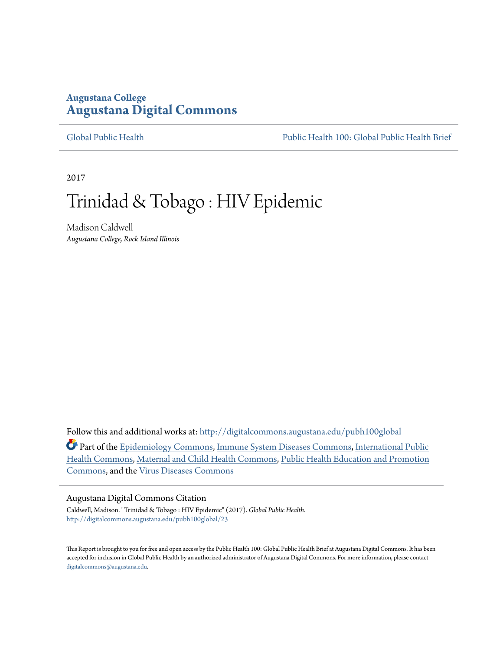## **Augustana College [Augustana Digital Commons](http://digitalcommons.augustana.edu?utm_source=digitalcommons.augustana.edu%2Fpubh100global%2F23&utm_medium=PDF&utm_campaign=PDFCoverPages)**

[Global Public Health](http://digitalcommons.augustana.edu/pubh100global?utm_source=digitalcommons.augustana.edu%2Fpubh100global%2F23&utm_medium=PDF&utm_campaign=PDFCoverPages) [Public Health 100: Global Public Health Brief](http://digitalcommons.augustana.edu/pubh100?utm_source=digitalcommons.augustana.edu%2Fpubh100global%2F23&utm_medium=PDF&utm_campaign=PDFCoverPages)

2017

# Trinidad & Tobago : HIV Epidemic

Madison Caldwell *Augustana College, Rock Island Illinois*

Follow this and additional works at: [http://digitalcommons.augustana.edu/pubh100global](http://digitalcommons.augustana.edu/pubh100global?utm_source=digitalcommons.augustana.edu%2Fpubh100global%2F23&utm_medium=PDF&utm_campaign=PDFCoverPages)

Part of the [Epidemiology Commons](http://network.bepress.com/hgg/discipline/740?utm_source=digitalcommons.augustana.edu%2Fpubh100global%2F23&utm_medium=PDF&utm_campaign=PDFCoverPages), [Immune System Diseases Commons,](http://network.bepress.com/hgg/discipline/933?utm_source=digitalcommons.augustana.edu%2Fpubh100global%2F23&utm_medium=PDF&utm_campaign=PDFCoverPages) [International Public](http://network.bepress.com/hgg/discipline/746?utm_source=digitalcommons.augustana.edu%2Fpubh100global%2F23&utm_medium=PDF&utm_campaign=PDFCoverPages) [Health Commons,](http://network.bepress.com/hgg/discipline/746?utm_source=digitalcommons.augustana.edu%2Fpubh100global%2F23&utm_medium=PDF&utm_campaign=PDFCoverPages) [Maternal and Child Health Commons](http://network.bepress.com/hgg/discipline/745?utm_source=digitalcommons.augustana.edu%2Fpubh100global%2F23&utm_medium=PDF&utm_campaign=PDFCoverPages), [Public Health Education and Promotion](http://network.bepress.com/hgg/discipline/743?utm_source=digitalcommons.augustana.edu%2Fpubh100global%2F23&utm_medium=PDF&utm_campaign=PDFCoverPages) [Commons,](http://network.bepress.com/hgg/discipline/743?utm_source=digitalcommons.augustana.edu%2Fpubh100global%2F23&utm_medium=PDF&utm_campaign=PDFCoverPages) and the [Virus Diseases Commons](http://network.bepress.com/hgg/discipline/998?utm_source=digitalcommons.augustana.edu%2Fpubh100global%2F23&utm_medium=PDF&utm_campaign=PDFCoverPages)

#### Augustana Digital Commons Citation

Caldwell, Madison. "Trinidad & Tobago : HIV Epidemic" (2017). *Global Public Health.* [http://digitalcommons.augustana.edu/pubh100global/23](http://digitalcommons.augustana.edu/pubh100global/23?utm_source=digitalcommons.augustana.edu%2Fpubh100global%2F23&utm_medium=PDF&utm_campaign=PDFCoverPages)

This Report is brought to you for free and open access by the Public Health 100: Global Public Health Brief at Augustana Digital Commons. It has been accepted for inclusion in Global Public Health by an authorized administrator of Augustana Digital Commons. For more information, please contact [digitalcommons@augustana.edu.](mailto:digitalcommons@augustana.edu)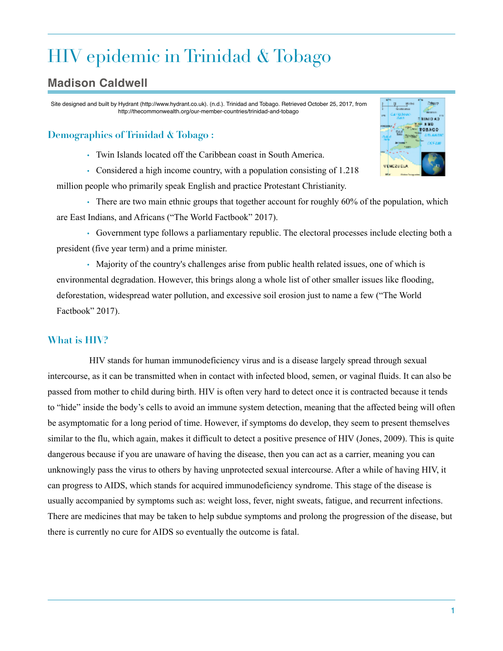# HIV epidemic in Trinidad & Tobago

# **Madison Caldwell**

Site designed and built by Hydrant (http://www.hydrant.co.uk). (n.d.). Trinidad and Tobago. Retrieved October 25, 2017, from http://thecommonwealth.org/our-member-countries/trinidad-and-tobago

## **Demographics of Trinidad & Tobago :**

• Twin Islands located off the Caribbean coast in South America.

• Considered a high income country, with a population consisting of 1.218 million people who primarily speak English and practice Protestant Christianity.

• There are two main ethnic groups that together account for roughly 60% of the population, which are East Indians, and Africans ("The World Factbook" 2017).

• Government type follows a parliamentary republic. The electoral processes include electing both a president (five year term) and a prime minister.

• Majority of the country's challenges arise from public health related issues, one of which is environmental degradation. However, this brings along a whole list of other smaller issues like flooding, deforestation, widespread water pollution, and excessive soil erosion just to name a few ("The World Factbook" 2017).

### **What is HIV?**

 HIV stands for human immunodeficiency virus and is a disease largely spread through sexual intercourse, as it can be transmitted when in contact with infected blood, semen, or vaginal fluids. It can also be passed from mother to child during birth. HIV is often very hard to detect once it is contracted because it tends to "hide" inside the body's cells to avoid an immune system detection, meaning that the affected being will often be asymptomatic for a long period of time. However, if symptoms do develop, they seem to present themselves similar to the flu, which again, makes it difficult to detect a positive presence of HIV (Jones, 2009). This is quite dangerous because if you are unaware of having the disease, then you can act as a carrier, meaning you can unknowingly pass the virus to others by having unprotected sexual intercourse. After a while of having HIV, it can progress to AIDS, which stands for acquired immunodeficiency syndrome. This stage of the disease is usually accompanied by symptoms such as: weight loss, fever, night sweats, fatigue, and recurrent infections. There are medicines that may be taken to help subdue symptoms and prolong the progression of the disease, but there is currently no cure for AIDS so eventually the outcome is fatal.